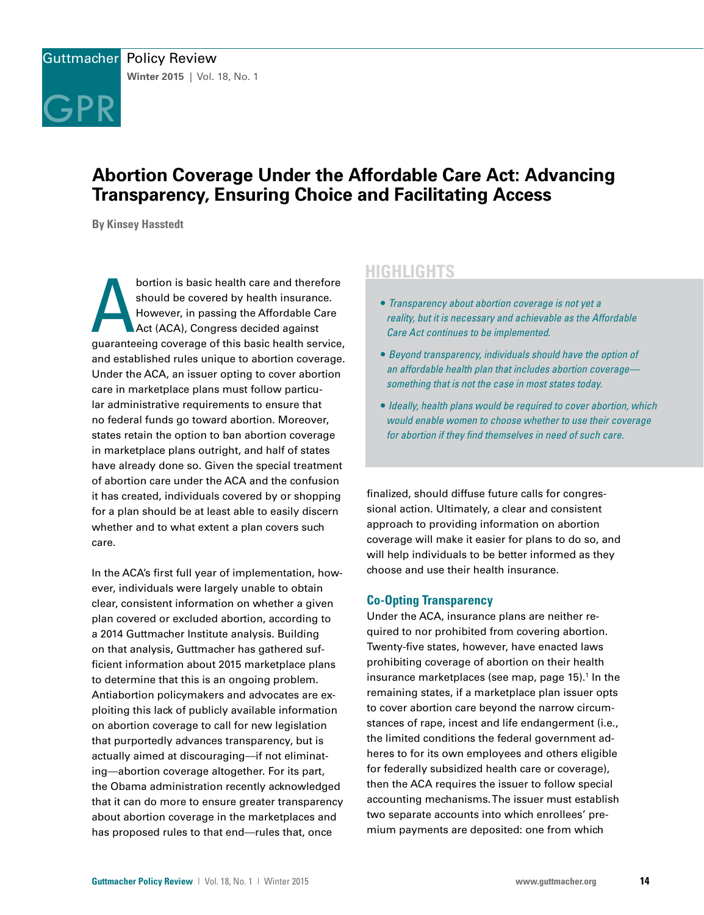

# **Abortion Coverage Under the Affordable Care Act: Advancing Transparency, Ensuring Choice and Facilitating Access**

**By Kinsey Hasstedt**

bortion is basic health care and therefore<br>should be covered by health insurance.<br>However, in passing the Affordable Care<br>Act (ACA), Congress decided against<br>guaranteeing coverage of this basic health service, bortion is basic health care and therefore should be covered by health insurance. However, in passing the Affordable Care Act (ACA), Congress decided against and established rules unique to abortion coverage. Under the ACA, an issuer opting to cover abortion care in marketplace plans must follow particular administrative requirements to ensure that no federal funds go toward abortion. Moreover, states retain the option to ban abortion coverage in marketplace plans outright, and half of states have already done so. Given the special treatment of abortion care under the ACA and the confusion it has created, individuals covered by or shopping for a plan should be at least able to easily discern whether and to what extent a plan covers such care.

In the ACA's first full year of implementation, however, individuals were largely unable to obtain clear, consistent information on whether a given plan covered or excluded abortion, according to a 2014 Guttmacher Institute analysis. Building on that analysis, Guttmacher has gathered sufficient information about 2015 marketplace plans to determine that this is an ongoing problem. Antiabortion policymakers and advocates are exploiting this lack of publicly available information on abortion coverage to call for new legislation that purportedly advances transparency, but is actually aimed at discouraging—if not eliminating—abortion coverage altogether. For its part, the Obama administration recently acknowledged that it can do more to ensure greater transparency about abortion coverage in the marketplaces and has proposed rules to that end—rules that, once

# **HIGHLIGHTS**

- *Transparency about abortion coverage is not yet a reality, but it is necessary and achievable as the Affordable Care Act continues to be implemented.*
- *Beyond transparency, individuals should have the option of an affordable health plan that includes abortion coverage something that is not the case in most states today.*
- *Ideally, health plans would be required to cover abortion, which would enable women to choose whether to use their coverage for abortion if they find themselves in need of such care.*

finalized, should diffuse future calls for congressional action. Ultimately, a clear and consistent approach to providing information on abortion coverage will make it easier for plans to do so, and will help individuals to be better informed as they choose and use their health insurance.

## **Co-Opting Transparency**

Under the ACA, insurance plans are neither required to nor prohibited from covering abortion. Twenty-five states, however, have enacted laws prohibiting coverage of abortion on their health insurance marketplaces (see map, page 15).<sup>1</sup> In the remaining states, if a marketplace plan issuer opts to cover abortion care beyond the narrow circumstances of rape, incest and life endangerment (i.e., the limited conditions the federal government adheres to for its own employees and others eligible for federally subsidized health care or coverage), then the ACA requires the issuer to follow special accounting mechanisms. The issuer must establish two separate accounts into which enrollees' premium payments are deposited: one from which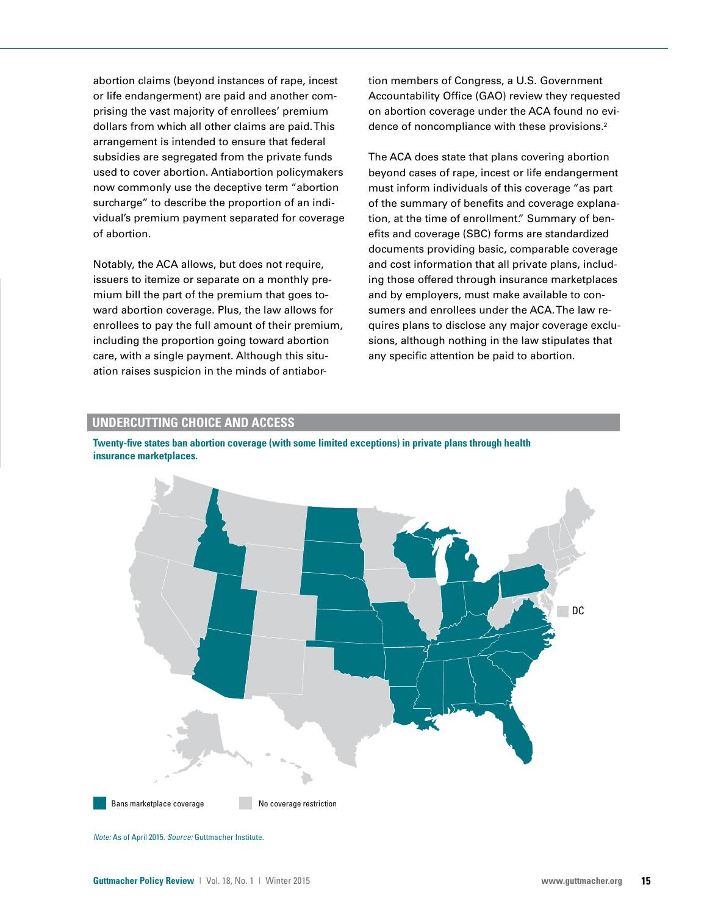abortion claims (beyond instances of rape, incest or life endangerment) are paid and another comprising the vast majority of enrollees' premium dollars from which all other claims are paid. This arrangement is intended to ensure that federal subsidies are segregated from the private funds used to cover abortion. Antiabortion policymakers now commonly use the deceptive term "abortion surcharge" to describe the proportion of an individual's premium payment separated for coverage of abortion.

Notably, the ACA allows, but does not require, issuers to itemize or separate on a monthly premium bill the part of the premium that goes toward abortion coverage. Plus, the law allows for enrollees to pay the full amount of their premium, including the proportion going toward abortion care, with a single payment. Although this situation raises suspicion in the minds of antiabortion members of Congress, a U.S. Government Accountability Office (GAO) review they requested on abortion coverage under the ACA found no evidence of noncompliance with these provisions.<sup>2</sup>

The ACA does state that plans covering abortion beyond cases of rape, incest or life endangerment must inform individuals of this coverage "as part of the summary of benefits and coverage explanation, at the time of enrollment." Summary of benefits and coverage (SBC) forms are standardized documents providing basic, comparable coverage and cost information that all private plans, including those offered through insurance marketplaces and by employers, must make available to consumers and enrollees under the ACA. The law requires plans to disclose any major coverage exclusions, although nothing in the law stipulates that any specific attention be paid to abortion.

#### **UNDERCUTTING CHOICE AND ACCESS**





*Source:* Guttmacher Institute *Note:* As of April 2015. *Source:* Guttmacher Institute.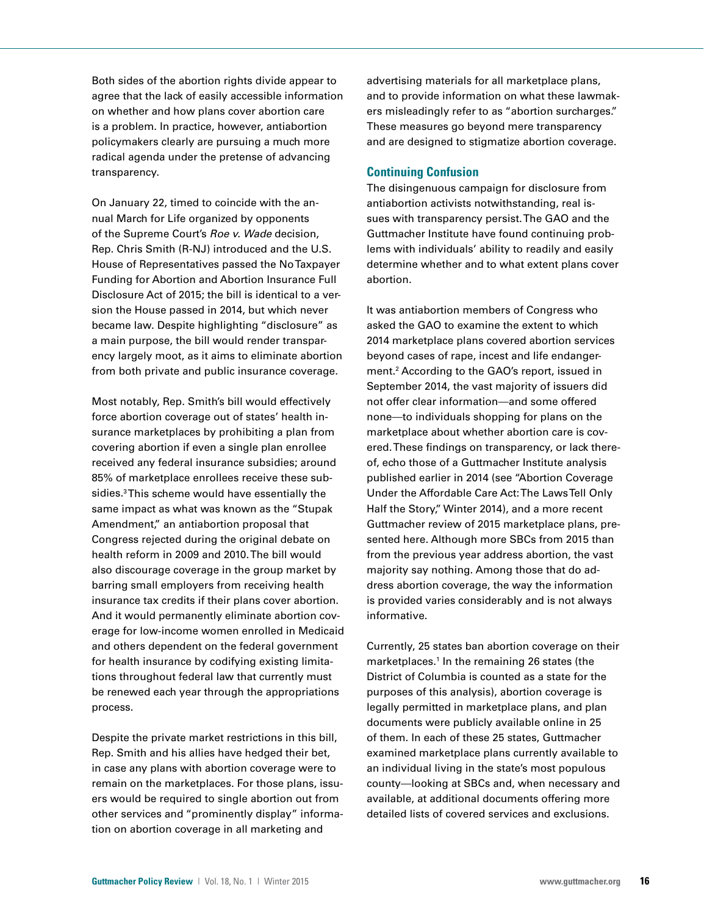Both sides of the abortion rights divide appear to agree that the lack of easily accessible information on whether and how plans cover abortion care is a problem. In practice, however, antiabortion policymakers clearly are pursuing a much more radical agenda under the pretense of advancing transparency.

On January 22, timed to coincide with the annual March for Life organized by opponents of the Supreme Court's *Roe v. Wade* decision, Rep. Chris Smith (R-NJ) introduced and the U.S. House of Representatives passed the No Taxpayer Funding for Abortion and Abortion Insurance Full Disclosure Act of 2015; the bill is identical to a version the House passed in 2014, but which never became law. Despite highlighting "disclosure" as a main purpose, the bill would render transparency largely moot, as it aims to eliminate abortion from both private and public insurance coverage.

Most notably, Rep. Smith's bill would effectively force abortion coverage out of states' health insurance marketplaces by prohibiting a plan from covering abortion if even a single plan enrollee received any federal insurance subsidies; around 85% of marketplace enrollees receive these subsidies.3 This scheme would have essentially the same impact as what was known as the "Stupak Amendment," an antiabortion proposal that Congress rejected during the original debate on health reform in 2009 and 2010. The bill would also discourage coverage in the group market by barring small employers from receiving health insurance tax credits if their plans cover abortion. And it would permanently eliminate abortion coverage for low-income women enrolled in Medicaid and others dependent on the federal government for health insurance by codifying existing limitations throughout federal law that currently must be renewed each year through the appropriations process.

Despite the private market restrictions in this bill, Rep. Smith and his allies have hedged their bet, in case any plans with abortion coverage were to remain on the marketplaces. For those plans, issuers would be required to single abortion out from other services and "prominently display" information on abortion coverage in all marketing and

advertising materials for all marketplace plans, and to provide information on what these lawmakers misleadingly refer to as "abortion surcharges." These measures go beyond mere transparency and are designed to stigmatize abortion coverage.

#### **Continuing Confusion**

The disingenuous campaign for disclosure from antiabortion activists notwithstanding, real issues with transparency persist. The GAO and the Guttmacher Institute have found continuing problems with individuals' ability to readily and easily determine whether and to what extent plans cover abortion.

It was antiabortion members of Congress who asked the GAO to examine the extent to which 2014 marketplace plans covered abortion services beyond cases of rape, incest and life endangerment.2 According to the GAO's report, issued in September 2014, the vast majority of issuers did not offer clear information—and some offered none—to individuals shopping for plans on the marketplace about whether abortion care is covered. These findings on transparency, or lack thereof, echo those of a Guttmacher Institute analysis published earlier in 2014 (see "Abortion Coverage Under the Affordable Care Act: The Laws Tell Only Half the Story," Winter 2014), and a more recent Guttmacher review of 2015 marketplace plans, presented here. Although more SBCs from 2015 than from the previous year address abortion, the vast majority say nothing. Among those that do address abortion coverage, the way the information is provided varies considerably and is not always informative.

Currently, 25 states ban abortion coverage on their marketplaces.<sup>1</sup> In the remaining 26 states (the District of Columbia is counted as a state for the purposes of this analysis), abortion coverage is legally permitted in marketplace plans, and plan documents were publicly available online in 25 of them. In each of these 25 states, Guttmacher examined marketplace plans currently available to an individual living in the state's most populous county—looking at SBCs and, when necessary and available, at additional documents offering more detailed lists of covered services and exclusions.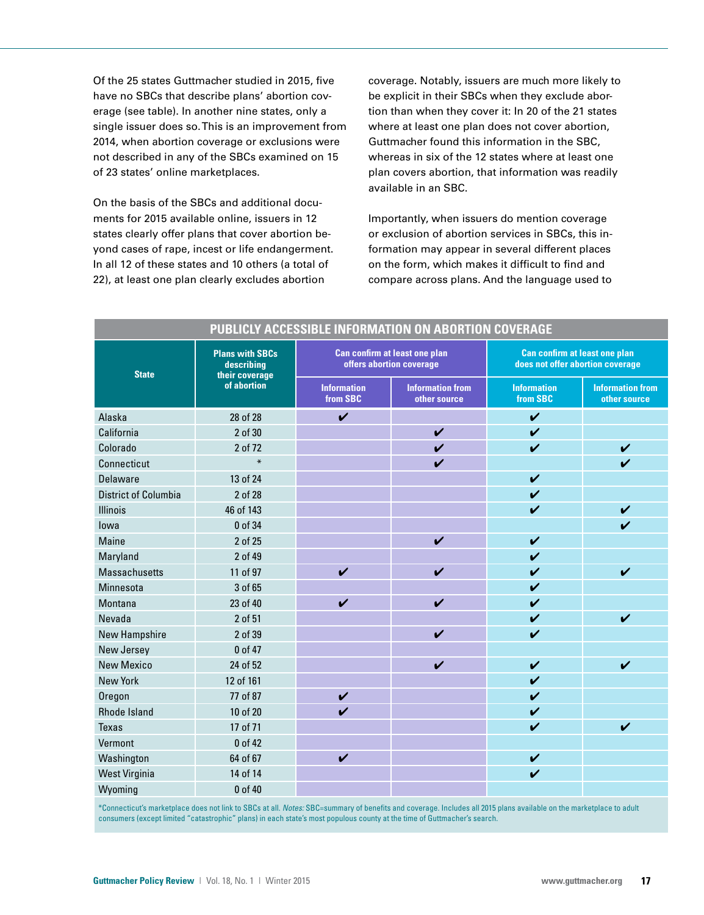Of the 25 states Guttmacher studied in 2015, five have no SBCs that describe plans' abortion coverage (see table). In another nine states, only a single issuer does so. This is an improvement from 2014, when abortion coverage or exclusions were not described in any of the SBCs examined on 15 of 23 states' online marketplaces.

On the basis of the SBCs and additional documents for 2015 available online, issuers in 12 states clearly offer plans that cover abortion beyond cases of rape, incest or life endangerment. In all 12 of these states and 10 others (a total of 22), at least one plan clearly excludes abortion

coverage. Notably, issuers are much more likely to be explicit in their SBCs when they exclude abortion than when they cover it: In 20 of the 21 states where at least one plan does not cover abortion, Guttmacher found this information in the SBC, whereas in six of the 12 states where at least one plan covers abortion, that information was readily available in an SBC.

Importantly, when issuers do mention coverage or exclusion of abortion services in SBCs, this information may appear in several different places on the form, which makes it difficult to find and compare across plans. And the language used to

| PUBLICLY ACCESSIBLE INFORMATION ON ABORTION COVERAGE |                                                                       |                                                                  |                                         |                                                                          |                                         |
|------------------------------------------------------|-----------------------------------------------------------------------|------------------------------------------------------------------|-----------------------------------------|--------------------------------------------------------------------------|-----------------------------------------|
| <b>State</b>                                         | <b>Plans with SBCs</b><br>describing<br>their coverage<br>of abortion | <b>Can confirm at least one plan</b><br>offers abortion coverage |                                         | <b>Can confirm at least one plan</b><br>does not offer abortion coverage |                                         |
|                                                      |                                                                       | <b>Information</b><br>from SBC                                   | <b>Information from</b><br>other source | <b>Information</b><br>from SBC                                           | <b>Information from</b><br>other source |
| Alaska                                               | 28 of 28                                                              | $\mathbf v$                                                      |                                         | $\mathbf v$                                                              |                                         |
| California                                           | 2 of 30                                                               |                                                                  | $\checkmark$                            | $\mathbf v$                                                              |                                         |
| Colorado                                             | 2 of 72                                                               |                                                                  | $\checkmark$                            | $\checkmark$                                                             | $\checkmark$                            |
| Connecticut                                          | $\ast$                                                                |                                                                  | $\boldsymbol{\nu}$                      |                                                                          | $\boldsymbol{\nu}$                      |
| Delaware                                             | 13 of 24                                                              |                                                                  |                                         | $\boldsymbol{\mathcal{U}}$                                               |                                         |
| <b>District of Columbia</b>                          | 2 of 28                                                               |                                                                  |                                         | $\boldsymbol{\nu}$                                                       |                                         |
| <b>Illinois</b>                                      | 46 of 143                                                             |                                                                  |                                         | $\checkmark$                                                             | V                                       |
| lowa                                                 | 0 of 34                                                               |                                                                  |                                         |                                                                          | V                                       |
| Maine                                                | 2 of 25                                                               |                                                                  | $\boldsymbol{\mathcal{U}}$              | $\checkmark$                                                             |                                         |
| Maryland                                             | 2 of 49                                                               |                                                                  |                                         | $\checkmark$                                                             |                                         |
| <b>Massachusetts</b>                                 | 11 of 97                                                              | $\checkmark$                                                     | $\boldsymbol{\mathcal{U}}$              | $\mathbf v$                                                              | $\boldsymbol{\nu}$                      |
| Minnesota                                            | 3 of 65                                                               |                                                                  |                                         | $\checkmark$                                                             |                                         |
| Montana                                              | 23 of 40                                                              | $\checkmark$                                                     | $\checkmark$                            | $\checkmark$                                                             |                                         |
| Nevada                                               | 2 of 51                                                               |                                                                  |                                         | $\checkmark$                                                             | V                                       |
| <b>New Hampshire</b>                                 | 2 of 39                                                               |                                                                  | $\boldsymbol{\nu}$                      | $\mathbf v$                                                              |                                         |
| New Jersey                                           | 0 of 47                                                               |                                                                  |                                         |                                                                          |                                         |
| <b>New Mexico</b>                                    | 24 of 52                                                              |                                                                  | $\boldsymbol{\nu}$                      | $\boldsymbol{\nu}$                                                       | $\boldsymbol{\nu}$                      |
| New York                                             | 12 of 161                                                             |                                                                  |                                         | $\checkmark$                                                             |                                         |
| Oregon                                               | 77 of 87                                                              | $\checkmark$                                                     |                                         | $\mathbf v$                                                              |                                         |
| <b>Rhode Island</b>                                  | 10 of 20                                                              | $\boldsymbol{\nu}$                                               |                                         | $\checkmark$                                                             |                                         |
| <b>Texas</b>                                         | 17 of 71                                                              |                                                                  |                                         | $\checkmark$                                                             | V                                       |
| Vermont                                              | 0 of 42                                                               |                                                                  |                                         |                                                                          |                                         |
| Washington                                           | 64 of 67                                                              | $\checkmark$                                                     |                                         | $\checkmark$                                                             |                                         |
| <b>West Virginia</b>                                 | 14 of 14                                                              |                                                                  |                                         | $\mathbf v$                                                              |                                         |
| Wyoming                                              | 0 of 40                                                               |                                                                  |                                         |                                                                          |                                         |

\*Connecticut's marketplace does not link to SBCs at all. *Notes:* SBC=summary of benefits and coverage. Includes all 2015 plans available on the marketplace to adult consumers (except limited "catastrophic" plans) in each state's most populous county at the time of Guttmacher's search.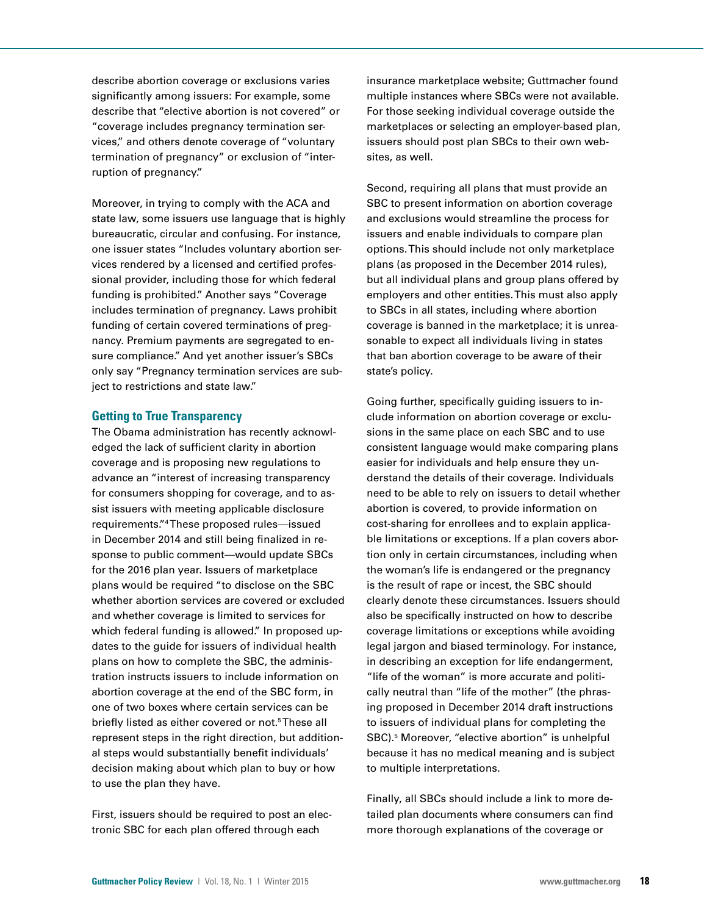describe abortion coverage or exclusions varies significantly among issuers: For example, some describe that "elective abortion is not covered" or "coverage includes pregnancy termination services," and others denote coverage of "voluntary termination of pregnancy" or exclusion of "interruption of pregnancy."

Moreover, in trying to comply with the ACA and state law, some issuers use language that is highly bureaucratic, circular and confusing. For instance, one issuer states "Includes voluntary abortion services rendered by a licensed and certified professional provider, including those for which federal funding is prohibited." Another says "Coverage includes termination of pregnancy. Laws prohibit funding of certain covered terminations of pregnancy. Premium payments are segregated to ensure compliance." And yet another issuer's SBCs only say "Pregnancy termination services are subject to restrictions and state law."

#### **Getting to True Transparency**

The Obama administration has recently acknowledged the lack of sufficient clarity in abortion coverage and is proposing new regulations to advance an "interest of increasing transparency for consumers shopping for coverage, and to assist issuers with meeting applicable disclosure requirements."4 These proposed rules—issued in December 2014 and still being finalized in response to public comment—would update SBCs for the 2016 plan year. Issuers of marketplace plans would be required "to disclose on the SBC whether abortion services are covered or excluded and whether coverage is limited to services for which federal funding is allowed." In proposed updates to the guide for issuers of individual health plans on how to complete the SBC, the administration instructs issuers to include information on abortion coverage at the end of the SBC form, in one of two boxes where certain services can be briefly listed as either covered or not.<sup>5</sup>These all represent steps in the right direction, but additional steps would substantially benefit individuals' decision making about which plan to buy or how to use the plan they have.

First, issuers should be required to post an electronic SBC for each plan offered through each

insurance marketplace website; Guttmacher found multiple instances where SBCs were not available. For those seeking individual coverage outside the marketplaces or selecting an employer-based plan, issuers should post plan SBCs to their own websites, as well.

Second, requiring all plans that must provide an SBC to present information on abortion coverage and exclusions would streamline the process for issuers and enable individuals to compare plan options. This should include not only marketplace plans (as proposed in the December 2014 rules), but all individual plans and group plans offered by employers and other entities. This must also apply to SBCs in all states, including where abortion coverage is banned in the marketplace; it is unreasonable to expect all individuals living in states that ban abortion coverage to be aware of their state's policy.

Going further, specifically guiding issuers to include information on abortion coverage or exclusions in the same place on each SBC and to use consistent language would make comparing plans easier for individuals and help ensure they understand the details of their coverage. Individuals need to be able to rely on issuers to detail whether abortion is covered, to provide information on cost-sharing for enrollees and to explain applicable limitations or exceptions. If a plan covers abortion only in certain circumstances, including when the woman's life is endangered or the pregnancy is the result of rape or incest, the SBC should clearly denote these circumstances. Issuers should also be specifically instructed on how to describe coverage limitations or exceptions while avoiding legal jargon and biased terminology. For instance, in describing an exception for life endangerment, "life of the woman" is more accurate and politically neutral than "life of the mother" (the phrasing proposed in December 2014 draft instructions to issuers of individual plans for completing the SBC).<sup>5</sup> Moreover, "elective abortion" is unhelpful because it has no medical meaning and is subject to multiple interpretations.

Finally, all SBCs should include a link to more detailed plan documents where consumers can find more thorough explanations of the coverage or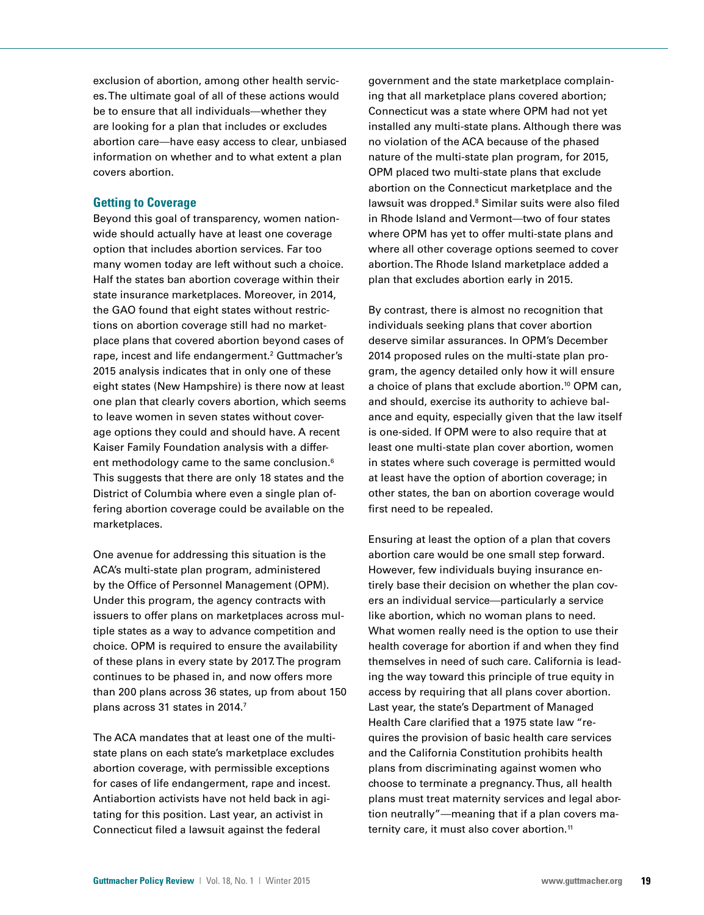exclusion of abortion, among other health services. The ultimate goal of all of these actions would be to ensure that all individuals—whether they are looking for a plan that includes or excludes abortion care—have easy access to clear, unbiased information on whether and to what extent a plan covers abortion.

## **Getting to Coverage**

Beyond this goal of transparency, women nationwide should actually have at least one coverage option that includes abortion services. Far too many women today are left without such a choice. Half the states ban abortion coverage within their state insurance marketplaces. Moreover, in 2014, the GAO found that eight states without restrictions on abortion coverage still had no marketplace plans that covered abortion beyond cases of rape, incest and life endangerment.<sup>2</sup> Guttmacher's 2015 analysis indicates that in only one of these eight states (New Hampshire) is there now at least one plan that clearly covers abortion, which seems to leave women in seven states without coverage options they could and should have. A recent Kaiser Family Foundation analysis with a different methodology came to the same conclusion.<sup>6</sup> This suggests that there are only 18 states and the District of Columbia where even a single plan offering abortion coverage could be available on the marketplaces.

One avenue for addressing this situation is the ACA's multi-state plan program, administered by the Office of Personnel Management (OPM). Under this program, the agency contracts with issuers to offer plans on marketplaces across multiple states as a way to advance competition and choice. OPM is required to ensure the availability of these plans in every state by 2017. The program continues to be phased in, and now offers more than 200 plans across 36 states, up from about 150 plans across 31 states in 2014.7

The ACA mandates that at least one of the multistate plans on each state's marketplace excludes abortion coverage, with permissible exceptions for cases of life endangerment, rape and incest. Antiabortion activists have not held back in agitating for this position. Last year, an activist in Connecticut filed a lawsuit against the federal

government and the state marketplace complaining that all marketplace plans covered abortion; Connecticut was a state where OPM had not yet installed any multi-state plans. Although there was no violation of the ACA because of the phased nature of the multi-state plan program, for 2015, OPM placed two multi-state plans that exclude abortion on the Connecticut marketplace and the lawsuit was dropped.<sup>8</sup> Similar suits were also filed in Rhode Island and Vermont—two of four states where OPM has yet to offer multi-state plans and where all other coverage options seemed to cover abortion. The Rhode Island marketplace added a plan that excludes abortion early in 2015.

By contrast, there is almost no recognition that individuals seeking plans that cover abortion deserve similar assurances. In OPM's December 2014 proposed rules on the multi-state plan program, the agency detailed only how it will ensure a choice of plans that exclude abortion.<sup>10</sup> OPM can, and should, exercise its authority to achieve balance and equity, especially given that the law itself is one-sided. If OPM were to also require that at least one multi-state plan cover abortion, women in states where such coverage is permitted would at least have the option of abortion coverage; in other states, the ban on abortion coverage would first need to be repealed.

Ensuring at least the option of a plan that covers abortion care would be one small step forward. However, few individuals buying insurance entirely base their decision on whether the plan covers an individual service—particularly a service like abortion, which no woman plans to need. What women really need is the option to use their health coverage for abortion if and when they find themselves in need of such care. California is leading the way toward this principle of true equity in access by requiring that all plans cover abortion. Last year, the state's Department of Managed Health Care clarified that a 1975 state law "requires the provision of basic health care services and the California Constitution prohibits health plans from discriminating against women who choose to terminate a pregnancy. Thus, all health plans must treat maternity services and legal abortion neutrally"—meaning that if a plan covers maternity care, it must also cover abortion.<sup>11</sup>